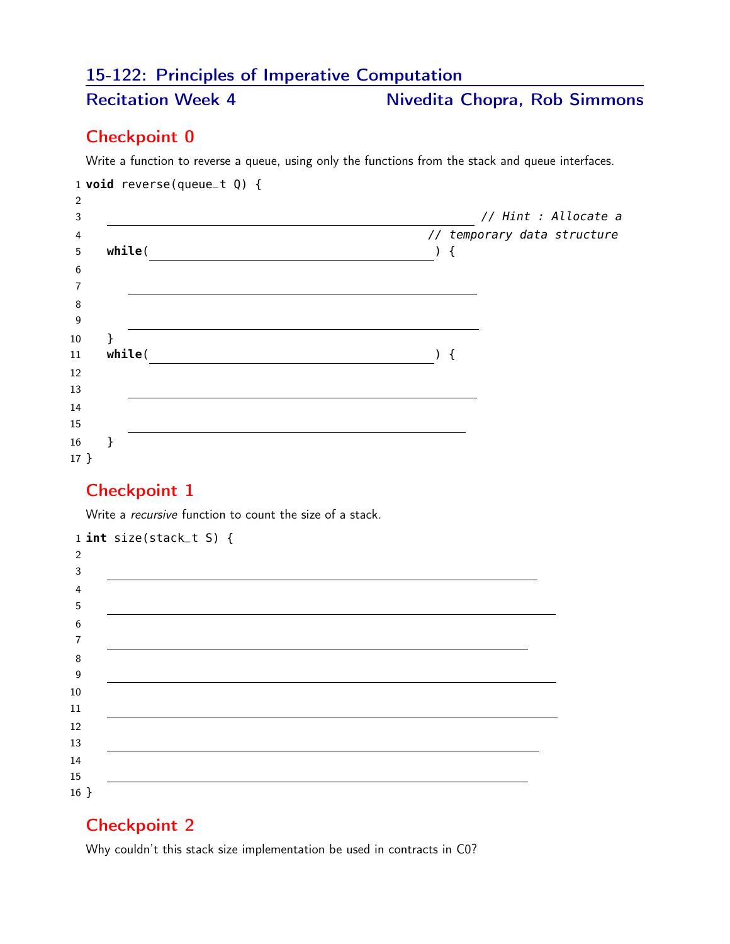# 15-122: Principles of Imperative Computation

# Recitation Week 4 Nivedita Chopra, Rob Simmons

#### Checkpoint 0

Write a function to reverse a queue, using only the functions from the stack and queue interfaces.

|         | 1 <b>void</b> reverse(queue_t $Q$ ) { |                             |
|---------|---------------------------------------|-----------------------------|
| 2<br>3  |                                       | // Hint : Allocate a        |
| 4       |                                       | // temporary data structure |
| 5       | while(                                | $\{$                        |
| 6       |                                       |                             |
| 7       |                                       |                             |
| 8<br>9  |                                       |                             |
| 10      | ł                                     |                             |
| 11      | while(                                | ) {                         |
| 12      |                                       |                             |
| 13      |                                       |                             |
| 14      |                                       |                             |
| 15      |                                       |                             |
| 16      |                                       |                             |
| $17 \}$ |                                       |                             |

## Checkpoint 1

Write a *recursive* function to count the size of a stack.

|                  | $1$ int size(stack_t S) { |
|------------------|---------------------------|
| 2                |                           |
| 3                |                           |
| 4                |                           |
| $\sqrt{5}$       |                           |
| $\boldsymbol{6}$ |                           |
| 7                |                           |
| 8                |                           |
| 9                |                           |
| $10\,$           |                           |
| 11               |                           |
| 12               |                           |
| 13               |                           |
| 14               |                           |
| 15               |                           |
| $16 \}$          |                           |

#### Checkpoint 2

Why couldn't this stack size implementation be used in contracts in C0?